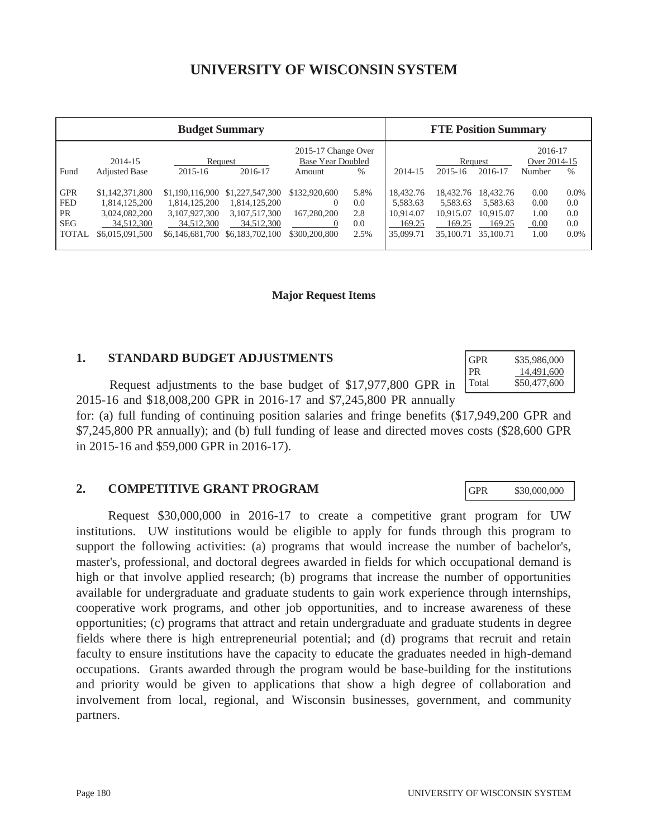# **UNIVERSITY OF WISCONSIN SYSTEM**

| <b>Budget Summary</b> |                      |                 |                 |                                                 |      | <b>FTE Position Summary</b> |             |                    |                         |         |
|-----------------------|----------------------|-----------------|-----------------|-------------------------------------------------|------|-----------------------------|-------------|--------------------|-------------------------|---------|
|                       | 2014-15              | Request         | 2016-17         | 2015-17 Change Over<br><b>Base Year Doubled</b> | $\%$ | 2014-15                     | $2015 - 16$ | Request<br>2016-17 | 2016-17<br>Over 2014-15 |         |
| Fund                  | <b>Adjusted Base</b> | 2015-16         |                 | Amount                                          |      |                             |             |                    | Number                  | $\%$    |
| <b>GPR</b>            | \$1,142,371,800      | \$1,190,116,900 | \$1,227,547,300 | \$132,920,600                                   | 5.8% | 18.432.76                   | 18.432.76   | 18,432.76          | 0.00                    | $0.0\%$ |
| <b>FED</b>            | 1.814.125.200        | 1,814,125,200   | 1,814,125,200   |                                                 | 0.0  | 5.583.63                    | 5,583.63    | 5,583.63           | 0.00                    | 0.0     |
| <b>PR</b>             | 3,024,082,200        | 3,107,927,300   | 3,107,517,300   | 167.280.200                                     | 2.8  | 10.914.07                   | 10.915.07   | 10.915.07          | 1.00                    | 0.0     |
| <b>SEG</b>            | 34,512,300           | 34,512,300      | 34,512,300      |                                                 | 0.0  | 169.25                      | 169.25      | 169.25             | 0.00                    | 0.0     |
| <b>TOTAL</b>          | \$6,015,091,500      | \$6,146,681,700 | \$6,183,702,100 | \$300,200,800                                   | 2.5% | 35,099.71                   | 35,100.71   | 35,100.71          | 1.00                    | $0.0\%$ |

#### **Major Request Items**

## **1. STANDARD BUDGET ADJUSTMENTS**

 Request adjustments to the base budget of \$17,977,800 GPR in 2015-16 and \$18,008,200 GPR in 2016-17 and \$7,245,800 PR annually

for: (a) full funding of continuing position salaries and fringe benefits (\$17,949,200 GPR and \$7,245,800 PR annually); and (b) full funding of lease and directed moves costs (\$28,600 GPR in 2015-16 and \$59,000 GPR in 2016-17).

## **2. COMPETITIVE GRANT PROGRAM**

 Request \$30,000,000 in 2016-17 to create a competitive grant program for UW institutions. UW institutions would be eligible to apply for funds through this program to support the following activities: (a) programs that would increase the number of bachelor's, master's, professional, and doctoral degrees awarded in fields for which occupational demand is high or that involve applied research; (b) programs that increase the number of opportunities available for undergraduate and graduate students to gain work experience through internships, cooperative work programs, and other job opportunities, and to increase awareness of these opportunities; (c) programs that attract and retain undergraduate and graduate students in degree fields where there is high entrepreneurial potential; and (d) programs that recruit and retain faculty to ensure institutions have the capacity to educate the graduates needed in high-demand occupations. Grants awarded through the program would be base-building for the institutions and priority would be given to applications that show a high degree of collaboration and involvement from local, regional, and Wisconsin businesses, government, and community partners.

|                                                        | \$35,986,000 |
|--------------------------------------------------------|--------------|
| $\begin{array}{c} \text{GPR} \\ \text{PR} \end{array}$ | 14,491,600   |
| Total                                                  | \$50,477,600 |

GPR \$30,000,000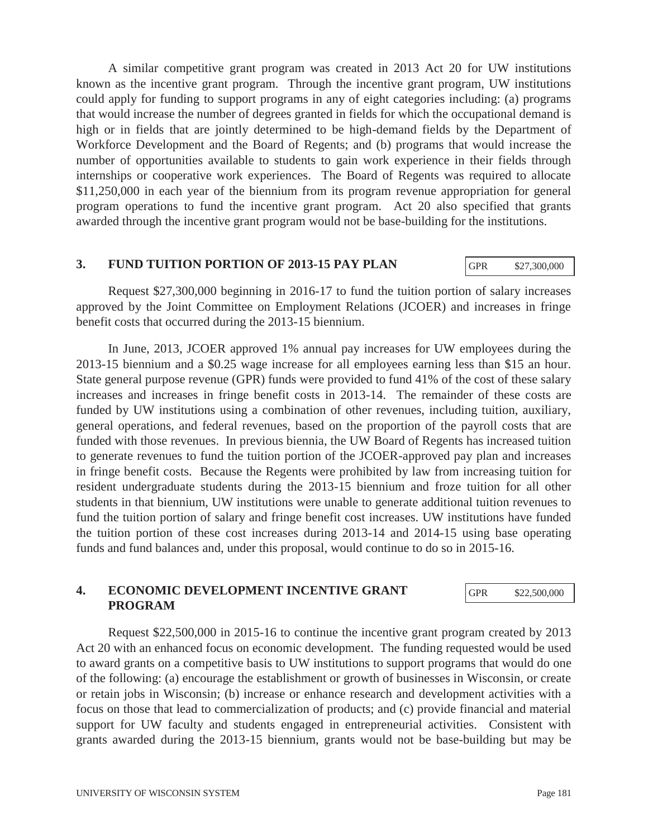A similar competitive grant program was created in 2013 Act 20 for UW institutions known as the incentive grant program. Through the incentive grant program, UW institutions could apply for funding to support programs in any of eight categories including: (a) programs that would increase the number of degrees granted in fields for which the occupational demand is high or in fields that are jointly determined to be high-demand fields by the Department of Workforce Development and the Board of Regents; and (b) programs that would increase the number of opportunities available to students to gain work experience in their fields through internships or cooperative work experiences. The Board of Regents was required to allocate \$11,250,000 in each year of the biennium from its program revenue appropriation for general program operations to fund the incentive grant program. Act 20 also specified that grants awarded through the incentive grant program would not be base-building for the institutions.

#### **3. FUND TUITION PORTION OF 2013-15 PAY PLAN**

 Request \$27,300,000 beginning in 2016-17 to fund the tuition portion of salary increases approved by the Joint Committee on Employment Relations (JCOER) and increases in fringe benefit costs that occurred during the 2013-15 biennium.

 In June, 2013, JCOER approved 1% annual pay increases for UW employees during the 2013-15 biennium and a \$0.25 wage increase for all employees earning less than \$15 an hour. State general purpose revenue (GPR) funds were provided to fund 41% of the cost of these salary increases and increases in fringe benefit costs in 2013-14. The remainder of these costs are funded by UW institutions using a combination of other revenues, including tuition, auxiliary, general operations, and federal revenues, based on the proportion of the payroll costs that are funded with those revenues. In previous biennia, the UW Board of Regents has increased tuition to generate revenues to fund the tuition portion of the JCOER-approved pay plan and increases in fringe benefit costs. Because the Regents were prohibited by law from increasing tuition for resident undergraduate students during the 2013-15 biennium and froze tuition for all other students in that biennium, UW institutions were unable to generate additional tuition revenues to fund the tuition portion of salary and fringe benefit cost increases. UW institutions have funded the tuition portion of these cost increases during 2013-14 and 2014-15 using base operating funds and fund balances and, under this proposal, would continue to do so in 2015-16.

## **4. ECONOMIC DEVELOPMENT INCENTIVE GRANT PROGRAM**

 Request \$22,500,000 in 2015-16 to continue the incentive grant program created by 2013 Act 20 with an enhanced focus on economic development. The funding requested would be used to award grants on a competitive basis to UW institutions to support programs that would do one of the following: (a) encourage the establishment or growth of businesses in Wisconsin, or create or retain jobs in Wisconsin; (b) increase or enhance research and development activities with a focus on those that lead to commercialization of products; and (c) provide financial and material support for UW faculty and students engaged in entrepreneurial activities. Consistent with grants awarded during the 2013-15 biennium, grants would not be base-building but may be

GPR \$22,500,000

GPR \$27,300,000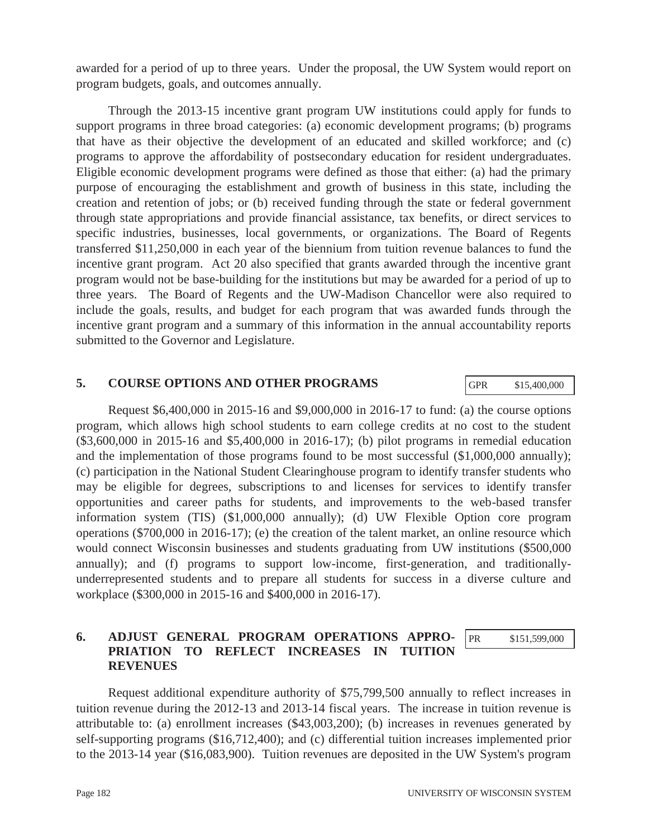Request additional expenditure authority of \$75,799,500 annually to reflect increases in tuition revenue during the 2012-13 and 2013-14 fiscal years. The increase in tuition revenue is attributable to: (a) enrollment increases (\$43,003,200); (b) increases in revenues generated by self-supporting programs (\$16,712,400); and (c) differential tuition increases implemented prior to the 2013-14 year (\$16,083,900). Tuition revenues are deposited in the UW System's program

## **6. ADJUST GENERAL PROGRAM OPERATIONS APPRO-PRIATION TO REFLECT INCREASES IN TUITION REVENUES**

PR \$151,599,000

GPR \$15,400,000

 Through the 2013-15 incentive grant program UW institutions could apply for funds to support programs in three broad categories: (a) economic development programs; (b) programs that have as their objective the development of an educated and skilled workforce; and (c) programs to approve the affordability of postsecondary education for resident undergraduates. Eligible economic development programs were defined as those that either: (a) had the primary purpose of encouraging the establishment and growth of business in this state, including the creation and retention of jobs; or (b) received funding through the state or federal government through state appropriations and provide financial assistance, tax benefits, or direct services to specific industries, businesses, local governments, or organizations. The Board of Regents transferred \$11,250,000 in each year of the biennium from tuition revenue balances to fund the incentive grant program. Act 20 also specified that grants awarded through the incentive grant program would not be base-building for the institutions but may be awarded for a period of up to three years. The Board of Regents and the UW-Madison Chancellor were also required to include the goals, results, and budget for each program that was awarded funds through the incentive grant program and a summary of this information in the annual accountability reports submitted to the Governor and Legislature.

Request \$6,400,000 in 2015-16 and \$9,000,000 in 2016-17 to fund: (a) the course options

program, which allows high school students to earn college credits at no cost to the student (\$3,600,000 in 2015-16 and \$5,400,000 in 2016-17); (b) pilot programs in remedial education and the implementation of those programs found to be most successful (\$1,000,000 annually); (c) participation in the National Student Clearinghouse program to identify transfer students who may be eligible for degrees, subscriptions to and licenses for services to identify transfer opportunities and career paths for students, and improvements to the web-based transfer information system (TIS) (\$1,000,000 annually); (d) UW Flexible Option core program operations (\$700,000 in 2016-17); (e) the creation of the talent market, an online resource which would connect Wisconsin businesses and students graduating from UW institutions (\$500,000 annually); and (f) programs to support low-income, first-generation, and traditionallyunderrepresented students and to prepare all students for success in a diverse culture and

awarded for a period of up to three years. Under the proposal, the UW System would report on program budgets, goals, and outcomes annually.

## **5. COURSE OPTIONS AND OTHER PROGRAMS**

workplace (\$300,000 in 2015-16 and \$400,000 in 2016-17).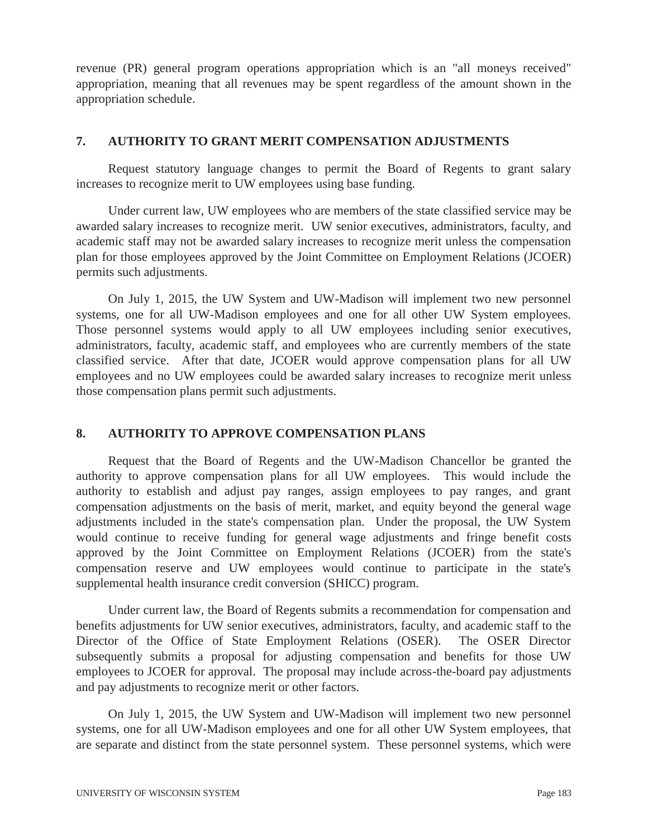revenue (PR) general program operations appropriation which is an "all moneys received" appropriation, meaning that all revenues may be spent regardless of the amount shown in the appropriation schedule.

## **7. AUTHORITY TO GRANT MERIT COMPENSATION ADJUSTMENTS**

 Request statutory language changes to permit the Board of Regents to grant salary increases to recognize merit to UW employees using base funding.

 Under current law, UW employees who are members of the state classified service may be awarded salary increases to recognize merit. UW senior executives, administrators, faculty, and academic staff may not be awarded salary increases to recognize merit unless the compensation plan for those employees approved by the Joint Committee on Employment Relations (JCOER) permits such adjustments.

 On July 1, 2015, the UW System and UW-Madison will implement two new personnel systems, one for all UW-Madison employees and one for all other UW System employees. Those personnel systems would apply to all UW employees including senior executives, administrators, faculty, academic staff, and employees who are currently members of the state classified service. After that date, JCOER would approve compensation plans for all UW employees and no UW employees could be awarded salary increases to recognize merit unless those compensation plans permit such adjustments.

## **8. AUTHORITY TO APPROVE COMPENSATION PLANS**

 Request that the Board of Regents and the UW-Madison Chancellor be granted the authority to approve compensation plans for all UW employees. This would include the authority to establish and adjust pay ranges, assign employees to pay ranges, and grant compensation adjustments on the basis of merit, market, and equity beyond the general wage adjustments included in the state's compensation plan. Under the proposal, the UW System would continue to receive funding for general wage adjustments and fringe benefit costs approved by the Joint Committee on Employment Relations (JCOER) from the state's compensation reserve and UW employees would continue to participate in the state's supplemental health insurance credit conversion (SHICC) program.

 Under current law, the Board of Regents submits a recommendation for compensation and benefits adjustments for UW senior executives, administrators, faculty, and academic staff to the Director of the Office of State Employment Relations (OSER). The OSER Director subsequently submits a proposal for adjusting compensation and benefits for those UW employees to JCOER for approval. The proposal may include across-the-board pay adjustments and pay adjustments to recognize merit or other factors.

 On July 1, 2015, the UW System and UW-Madison will implement two new personnel systems, one for all UW-Madison employees and one for all other UW System employees, that are separate and distinct from the state personnel system. These personnel systems, which were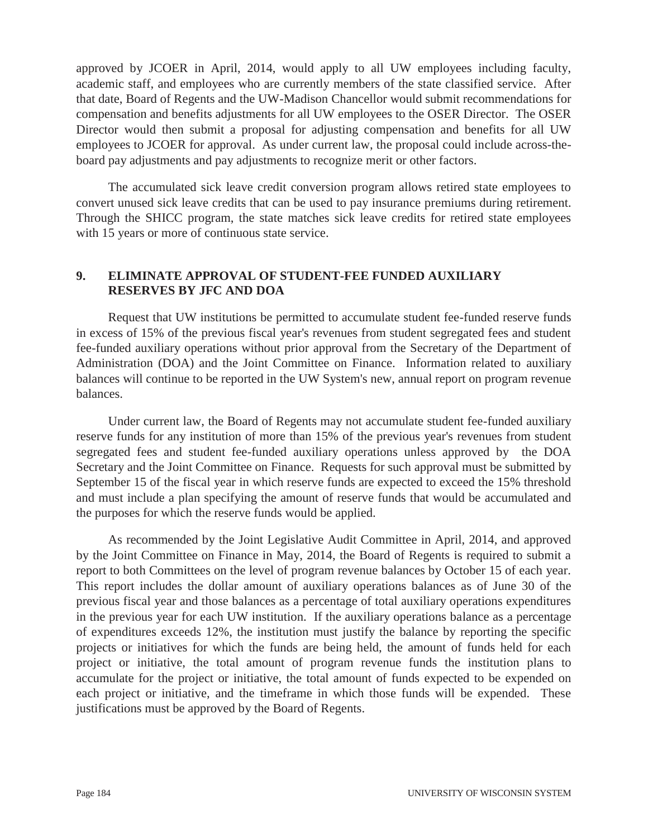approved by JCOER in April, 2014, would apply to all UW employees including faculty, academic staff, and employees who are currently members of the state classified service. After that date, Board of Regents and the UW-Madison Chancellor would submit recommendations for compensation and benefits adjustments for all UW employees to the OSER Director. The OSER Director would then submit a proposal for adjusting compensation and benefits for all UW employees to JCOER for approval. As under current law, the proposal could include across-theboard pay adjustments and pay adjustments to recognize merit or other factors.

 The accumulated sick leave credit conversion program allows retired state employees to convert unused sick leave credits that can be used to pay insurance premiums during retirement. Through the SHICC program, the state matches sick leave credits for retired state employees with 15 years or more of continuous state service.

## **9. ELIMINATE APPROVAL OF STUDENT-FEE FUNDED AUXILIARY RESERVES BY JFC AND DOA**

 Request that UW institutions be permitted to accumulate student fee-funded reserve funds in excess of 15% of the previous fiscal year's revenues from student segregated fees and student fee-funded auxiliary operations without prior approval from the Secretary of the Department of Administration (DOA) and the Joint Committee on Finance. Information related to auxiliary balances will continue to be reported in the UW System's new, annual report on program revenue balances.

 Under current law, the Board of Regents may not accumulate student fee-funded auxiliary reserve funds for any institution of more than 15% of the previous year's revenues from student segregated fees and student fee-funded auxiliary operations unless approved by the DOA Secretary and the Joint Committee on Finance. Requests for such approval must be submitted by September 15 of the fiscal year in which reserve funds are expected to exceed the 15% threshold and must include a plan specifying the amount of reserve funds that would be accumulated and the purposes for which the reserve funds would be applied.

 As recommended by the Joint Legislative Audit Committee in April, 2014, and approved by the Joint Committee on Finance in May, 2014, the Board of Regents is required to submit a report to both Committees on the level of program revenue balances by October 15 of each year. This report includes the dollar amount of auxiliary operations balances as of June 30 of the previous fiscal year and those balances as a percentage of total auxiliary operations expenditures in the previous year for each UW institution. If the auxiliary operations balance as a percentage of expenditures exceeds 12%, the institution must justify the balance by reporting the specific projects or initiatives for which the funds are being held, the amount of funds held for each project or initiative, the total amount of program revenue funds the institution plans to accumulate for the project or initiative, the total amount of funds expected to be expended on each project or initiative, and the timeframe in which those funds will be expended. These justifications must be approved by the Board of Regents.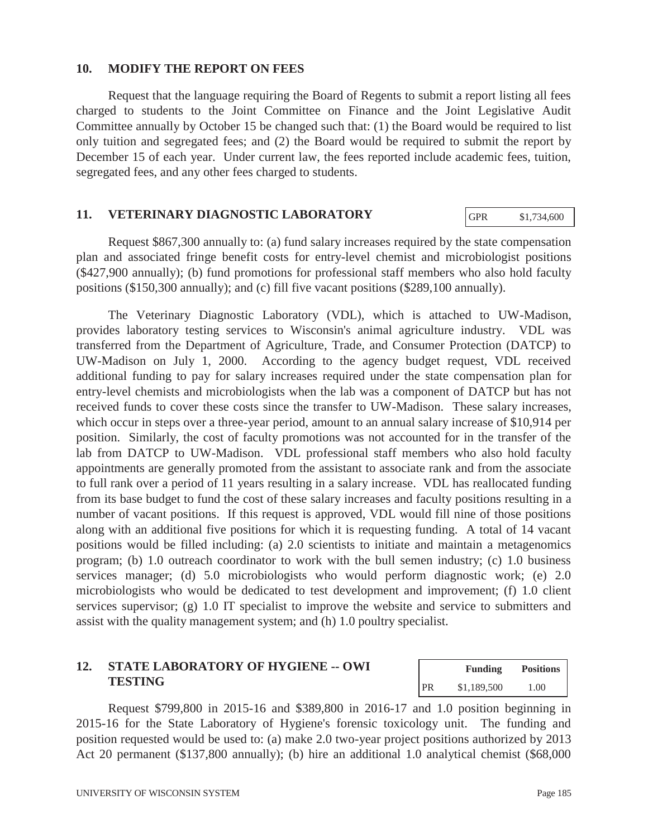#### **10. MODIFY THE REPORT ON FEES**

 Request that the language requiring the Board of Regents to submit a report listing all fees charged to students to the Joint Committee on Finance and the Joint Legislative Audit Committee annually by October 15 be changed such that: (1) the Board would be required to list only tuition and segregated fees; and (2) the Board would be required to submit the report by December 15 of each year. Under current law, the fees reported include academic fees, tuition, segregated fees, and any other fees charged to students.

## **11. VETERINARY DIAGNOSTIC LABORATORY**

GPR \$1,734,600

 Request \$867,300 annually to: (a) fund salary increases required by the state compensation plan and associated fringe benefit costs for entry-level chemist and microbiologist positions (\$427,900 annually); (b) fund promotions for professional staff members who also hold faculty positions (\$150,300 annually); and (c) fill five vacant positions (\$289,100 annually).

 The Veterinary Diagnostic Laboratory (VDL), which is attached to UW-Madison, provides laboratory testing services to Wisconsin's animal agriculture industry. VDL was transferred from the Department of Agriculture, Trade, and Consumer Protection (DATCP) to UW-Madison on July 1, 2000. According to the agency budget request, VDL received additional funding to pay for salary increases required under the state compensation plan for entry-level chemists and microbiologists when the lab was a component of DATCP but has not received funds to cover these costs since the transfer to UW-Madison. These salary increases, which occur in steps over a three-year period, amount to an annual salary increase of \$10,914 per position. Similarly, the cost of faculty promotions was not accounted for in the transfer of the lab from DATCP to UW-Madison. VDL professional staff members who also hold faculty appointments are generally promoted from the assistant to associate rank and from the associate to full rank over a period of 11 years resulting in a salary increase. VDL has reallocated funding from its base budget to fund the cost of these salary increases and faculty positions resulting in a number of vacant positions. If this request is approved, VDL would fill nine of those positions along with an additional five positions for which it is requesting funding. A total of 14 vacant positions would be filled including: (a) 2.0 scientists to initiate and maintain a metagenomics program; (b) 1.0 outreach coordinator to work with the bull semen industry; (c) 1.0 business services manager; (d) 5.0 microbiologists who would perform diagnostic work; (e) 2.0 microbiologists who would be dedicated to test development and improvement; (f) 1.0 client services supervisor; (g) 1.0 IT specialist to improve the website and service to submitters and assist with the quality management system; and (h) 1.0 poultry specialist.

#### **12. STATE LABORATORY OF HYGIENE -- OWI TESTING**

|           | Funding     | <b>Positions</b> |
|-----------|-------------|------------------|
| <b>PR</b> | \$1,189,500 | 1.00             |

 Request \$799,800 in 2015-16 and \$389,800 in 2016-17 and 1.0 position beginning in 2015-16 for the State Laboratory of Hygiene's forensic toxicology unit. The funding and position requested would be used to: (a) make 2.0 two-year project positions authorized by 2013 Act 20 permanent (\$137,800 annually); (b) hire an additional 1.0 analytical chemist (\$68,000